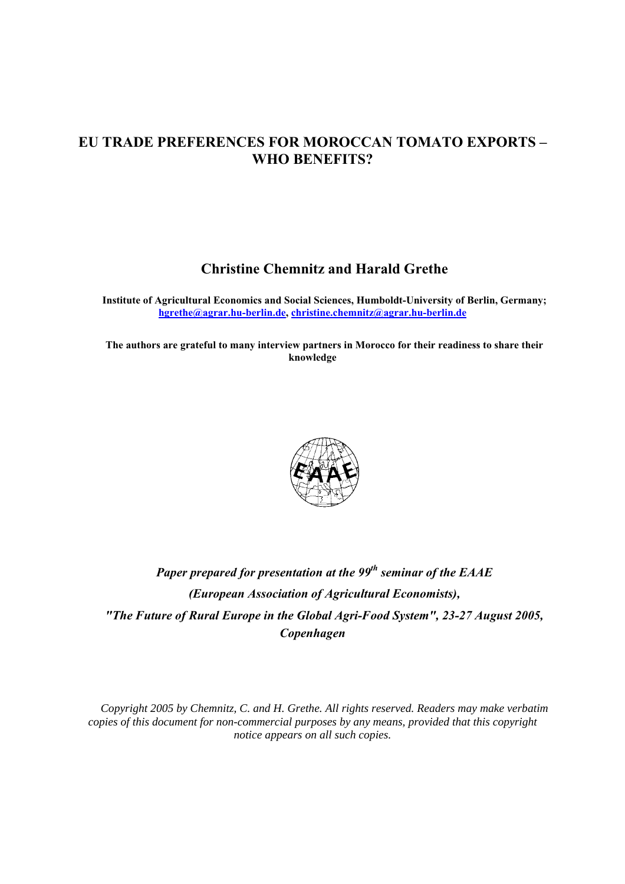# **EU TRADE PREFERENCES FOR MOROCCAN TOMATO EXPORTS – WHO BENEFITS?**

# **Christine Chemnitz and Harald Grethe**

**Institute of Agricultural Economics and Social Sciences, Humboldt-University of Berlin, Germany; hgrethe@agrar.hu-berlin.de, christine.chemnitz@agrar.hu-berlin.de**

**The authors are grateful to many interview partners in Morocco for their readiness to share their knowledge**



# *Paper prepared for presentation at the 99th seminar of the EAAE (European Association of Agricultural Economists), "The Future of Rural Europe in the Global Agri-Food System", 23-27 August 2005, Copenhagen*

*Copyright 2005 by Chemnitz, C. and H. Grethe. All rights reserved. Readers may make verbatim copies of this document for non-commercial purposes by any means, provided that this copyright notice appears on all such copies.*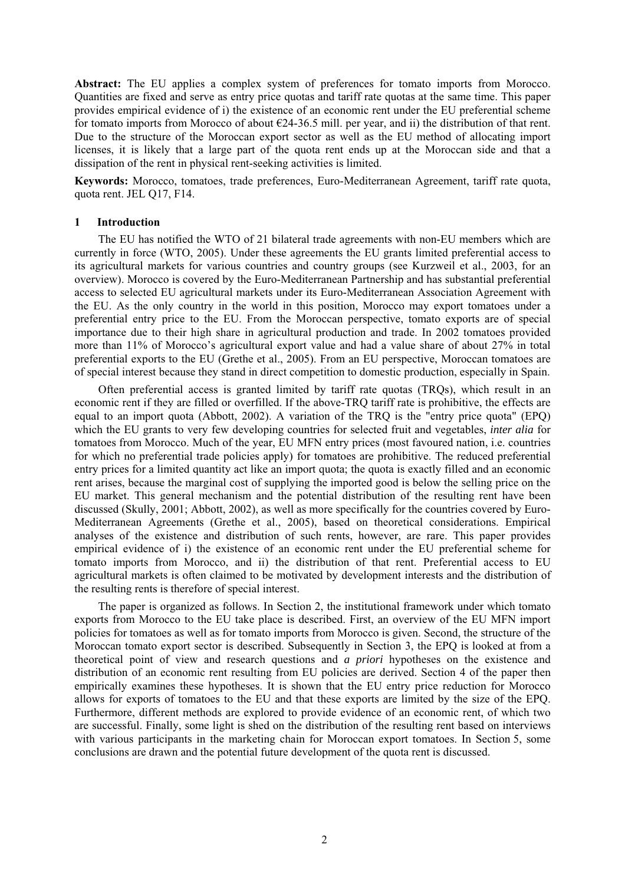**Abstract:** The EU applies a complex system of preferences for tomato imports from Morocco. Quantities are fixed and serve as entry price quotas and tariff rate quotas at the same time. This paper provides empirical evidence of i) the existence of an economic rent under the EU preferential scheme for tomato imports from Morocco of about  $\epsilon$ 24-36.5 mill. per year, and ii) the distribution of that rent. Due to the structure of the Moroccan export sector as well as the EU method of allocating import licenses, it is likely that a large part of the quota rent ends up at the Moroccan side and that a dissipation of the rent in physical rent-seeking activities is limited.

**Keywords:** Morocco, tomatoes, trade preferences, Euro-Mediterranean Agreement, tariff rate quota, quota rent. JEL Q17, F14.

#### **1 Introduction**

The EU has notified the WTO of 21 bilateral trade agreements with non-EU members which are currently in force (WTO, 2005). Under these agreements the EU grants limited preferential access to its agricultural markets for various countries and country groups (see Kurzweil et al., 2003, for an overview). Morocco is covered by the Euro-Mediterranean Partnership and has substantial preferential access to selected EU agricultural markets under its Euro-Mediterranean Association Agreement with the EU. As the only country in the world in this position, Morocco may export tomatoes under a preferential entry price to the EU. From the Moroccan perspective, tomato exports are of special importance due to their high share in agricultural production and trade. In 2002 tomatoes provided more than 11% of Morocco's agricultural export value and had a value share of about 27% in total preferential exports to the EU (Grethe et al., 2005). From an EU perspective, Moroccan tomatoes are of special interest because they stand in direct competition to domestic production, especially in Spain.

Often preferential access is granted limited by tariff rate quotas (TRQs), which result in an economic rent if they are filled or overfilled. If the above-TRQ tariff rate is prohibitive, the effects are equal to an import quota (Abbott, 2002). A variation of the TRQ is the "entry price quota" (EPQ) which the EU grants to very few developing countries for selected fruit and vegetables, *inter alia* for tomatoes from Morocco. Much of the year, EU MFN entry prices (most favoured nation, i.e. countries for which no preferential trade policies apply) for tomatoes are prohibitive. The reduced preferential entry prices for a limited quantity act like an import quota; the quota is exactly filled and an economic rent arises, because the marginal cost of supplying the imported good is below the selling price on the EU market. This general mechanism and the potential distribution of the resulting rent have been discussed (Skully, 2001; Abbott, 2002), as well as more specifically for the countries covered by Euro-Mediterranean Agreements (Grethe et al., 2005), based on theoretical considerations. Empirical analyses of the existence and distribution of such rents, however, are rare. This paper provides empirical evidence of i) the existence of an economic rent under the EU preferential scheme for tomato imports from Morocco, and ii) the distribution of that rent. Preferential access to EU agricultural markets is often claimed to be motivated by development interests and the distribution of the resulting rents is therefore of special interest.

The paper is organized as follows. In Section 2, the institutional framework under which tomato exports from Morocco to the EU take place is described. First, an overview of the EU MFN import policies for tomatoes as well as for tomato imports from Morocco is given. Second, the structure of the Moroccan tomato export sector is described. Subsequently in Section 3, the EPQ is looked at from a theoretical point of view and research questions and *a priori* hypotheses on the existence and distribution of an economic rent resulting from EU policies are derived. Section 4 of the paper then empirically examines these hypotheses. It is shown that the EU entry price reduction for Morocco allows for exports of tomatoes to the EU and that these exports are limited by the size of the EPQ. Furthermore, different methods are explored to provide evidence of an economic rent, of which two are successful. Finally, some light is shed on the distribution of the resulting rent based on interviews with various participants in the marketing chain for Moroccan export tomatoes. In Section 5, some conclusions are drawn and the potential future development of the quota rent is discussed.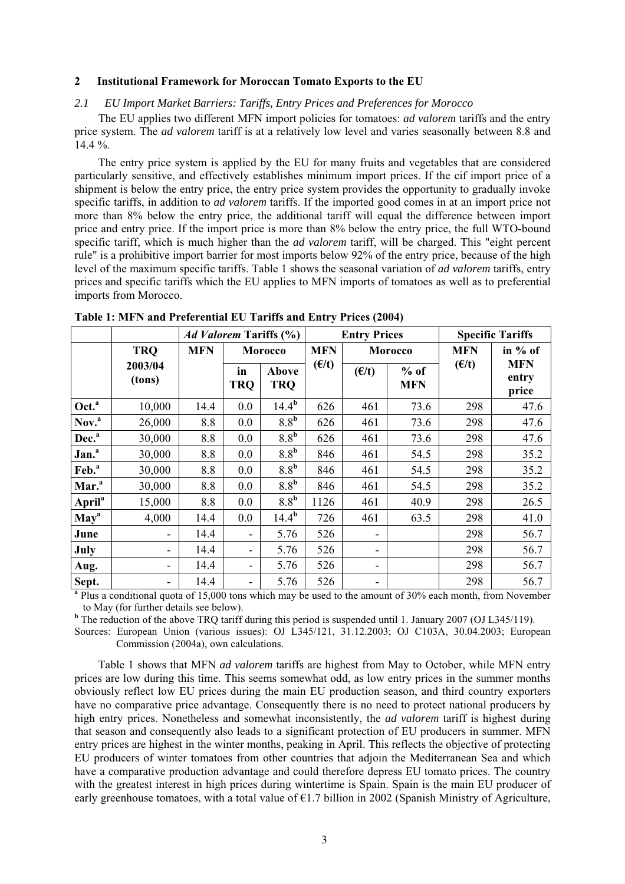# **2 Institutional Framework for Moroccan Tomato Exports to the EU**

#### *2.1 EU Import Market Barriers: Tariffs, Entry Prices and Preferences for Morocco*

The EU applies two different MFN import policies for tomatoes: *ad valorem* tariffs and the entry price system. The *ad valorem* tariff is at a relatively low level and varies seasonally between 8.8 and  $14.4 \%$ .

The entry price system is applied by the EU for many fruits and vegetables that are considered particularly sensitive, and effectively establishes minimum import prices. If the cif import price of a shipment is below the entry price, the entry price system provides the opportunity to gradually invoke specific tariffs, in addition to *ad valorem* tariffs. If the imported good comes in at an import price not more than 8% below the entry price, the additional tariff will equal the difference between import price and entry price. If the import price is more than 8% below the entry price, the full WTO-bound specific tariff, which is much higher than the *ad valorem* tariff, will be charged. This "eight percent rule" is a prohibitive import barrier for most imports below 92% of the entry price, because of the high level of the maximum specific tariffs. Table 1 shows the seasonal variation of *ad valorem* tariffs, entry prices and specific tariffs which the EU applies to MFN imports of tomatoes as well as to preferential imports from Morocco.

|                           |                   | <i>Ad Valorem Tariffs</i> (%) |                  |                     | <b>Entry Prices</b> |                          |                      | <b>Specific Tariffs</b> |                              |
|---------------------------|-------------------|-------------------------------|------------------|---------------------|---------------------|--------------------------|----------------------|-------------------------|------------------------------|
|                           | <b>TRQ</b>        | <b>MFN</b>                    |                  | Morocco             | <b>MFN</b>          |                          | Morocco              | <b>MFN</b>              | in % of                      |
|                           | 2003/04<br>(tons) |                               | in<br><b>TRQ</b> | Above<br><b>TRQ</b> | $(\epsilon/t)$      | (E/t)                    | $%$ of<br><b>MFN</b> | (E/t)                   | <b>MFN</b><br>entry<br>price |
| Oct. <sup>a</sup>         | 10,000            | 14.4                          | 0.0              | 14.4 <sup>b</sup>   | 626                 | 461                      | 73.6                 | 298                     | 47.6                         |
| Nov. <sup>a</sup>         | 26,000            | 8.8                           | 0.0              | 8.8 <sup>b</sup>    | 626                 | 461                      | 73.6                 | 298                     | 47.6                         |
| Dec. <sup>a</sup>         | 30,000            | 8.8                           | 0.0              | 8.8 <sup>b</sup>    | 626                 | 461                      | 73.6                 | 298                     | 47.6                         |
| Jan. <sup>a</sup>         | 30,000            | 8.8                           | 0.0              | 8.8 <sup>b</sup>    | 846                 | 461                      | 54.5                 | 298                     | 35.2                         |
| Feb. <sup>a</sup>         | 30,000            | 8.8                           | 0.0              | 8.8 <sup>b</sup>    | 846                 | 461                      | 54.5                 | 298                     | 35.2                         |
| Mar. <sup>a</sup>         | 30,000            | 8.8                           | 0.0              | 8.8 <sup>b</sup>    | 846                 | 461                      | 54.5                 | 298                     | 35.2                         |
| <b>April</b> <sup>a</sup> | 15,000            | 8.8                           | 0.0              | 8.8 <sup>b</sup>    | 1126                | 461                      | 40.9                 | 298                     | 26.5                         |
| May <sup>a</sup>          | 4,000             | 14.4                          | 0.0              | $14.4^{\rm b}$      | 726                 | 461                      | 63.5                 | 298                     | 41.0                         |
| June                      | ۰                 | 14.4                          | -                | 5.76                | 526                 |                          |                      | 298                     | 56.7                         |
| July                      | ۰                 | 14.4                          | -                | 5.76                | 526                 | $\overline{\phantom{a}}$ |                      | 298                     | 56.7                         |
| Aug.                      | ۰                 | 14.4                          | Ξ.               | 5.76                | 526                 | $\overline{\phantom{a}}$ |                      | 298                     | 56.7                         |
| Sept.                     |                   | 14.4                          | -                | 5.76                | 526                 |                          |                      | 298                     | 56.7                         |

**Table 1: MFN and Preferential EU Tariffs and Entry Prices (2004)**

<sup>a</sup> Plus a conditional quota of 15,000 tons which may be used to the amount of 30% each month, from November

to May (for further details see below). **<sup>b</sup>** The reduction of the above TRQ tariff during this period is suspended until 1. January 2007 (OJ L345/119).

Sources: European Union (various issues): OJ L345/121, 31.12.2003; OJ C103A, 30.04.2003; European Commission (2004a), own calculations.

Table 1 shows that MFN *ad valorem* tariffs are highest from May to October, while MFN entry prices are low during this time. This seems somewhat odd, as low entry prices in the summer months obviously reflect low EU prices during the main EU production season, and third country exporters have no comparative price advantage. Consequently there is no need to protect national producers by high entry prices. Nonetheless and somewhat inconsistently, the *ad valorem* tariff is highest during that season and consequently also leads to a significant protection of EU producers in summer. MFN entry prices are highest in the winter months, peaking in April. This reflects the objective of protecting EU producers of winter tomatoes from other countries that adjoin the Mediterranean Sea and which have a comparative production advantage and could therefore depress EU tomato prices. The country with the greatest interest in high prices during wintertime is Spain. Spain is the main EU producer of early greenhouse tomatoes, with a total value of  $\epsilon$ 1.7 billion in 2002 (Spanish Ministry of Agriculture,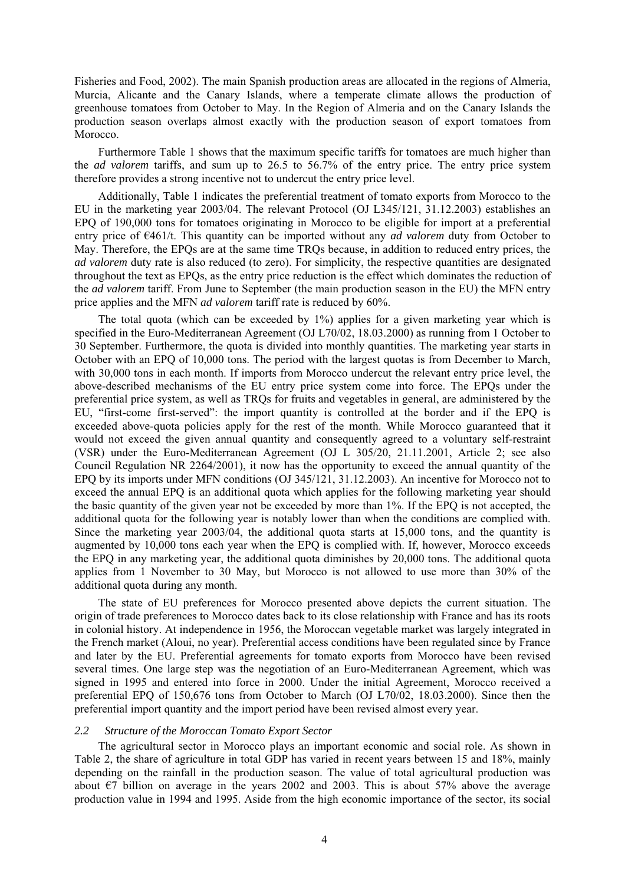Fisheries and Food, 2002). The main Spanish production areas are allocated in the regions of Almeria, Murcia, Alicante and the Canary Islands, where a temperate climate allows the production of greenhouse tomatoes from October to May. In the Region of Almeria and on the Canary Islands the production season overlaps almost exactly with the production season of export tomatoes from Morocco.

Furthermore Table 1 shows that the maximum specific tariffs for tomatoes are much higher than the *ad valorem* tariffs, and sum up to 26.5 to 56.7% of the entry price. The entry price system therefore provides a strong incentive not to undercut the entry price level.

Additionally, Table 1 indicates the preferential treatment of tomato exports from Morocco to the EU in the marketing year 2003/04. The relevant Protocol (OJ L345/121, 31.12.2003) establishes an EPQ of 190,000 tons for tomatoes originating in Morocco to be eligible for import at a preferential entry price of €461/t. This quantity can be imported without any *ad valorem* duty from October to May. Therefore, the EPQs are at the same time TRQs because, in addition to reduced entry prices, the *ad valorem* duty rate is also reduced (to zero). For simplicity, the respective quantities are designated throughout the text as EPQs, as the entry price reduction is the effect which dominates the reduction of the *ad valorem* tariff. From June to September (the main production season in the EU) the MFN entry price applies and the MFN *ad valorem* tariff rate is reduced by 60%.

The total quota (which can be exceeded by  $1\%$ ) applies for a given marketing year which is specified in the Euro-Mediterranean Agreement (OJ L70/02, 18.03.2000) as running from 1 October to 30 September. Furthermore, the quota is divided into monthly quantities. The marketing year starts in October with an EPQ of 10,000 tons. The period with the largest quotas is from December to March, with 30,000 tons in each month. If imports from Morocco undercut the relevant entry price level, the above-described mechanisms of the EU entry price system come into force. The EPQs under the preferential price system, as well as TRQs for fruits and vegetables in general, are administered by the EU, "first-come first-served": the import quantity is controlled at the border and if the EPQ is exceeded above-quota policies apply for the rest of the month. While Morocco guaranteed that it would not exceed the given annual quantity and consequently agreed to a voluntary self-restraint (VSR) under the Euro-Mediterranean Agreement (OJ L 305/20, 21.11.2001, Article 2; see also Council Regulation NR 2264/2001), it now has the opportunity to exceed the annual quantity of the EPQ by its imports under MFN conditions (OJ 345/121, 31.12.2003). An incentive for Morocco not to exceed the annual EPQ is an additional quota which applies for the following marketing year should the basic quantity of the given year not be exceeded by more than 1%. If the EPQ is not accepted, the additional quota for the following year is notably lower than when the conditions are complied with. Since the marketing year 2003/04, the additional quota starts at 15,000 tons, and the quantity is augmented by 10,000 tons each year when the EPQ is complied with. If, however, Morocco exceeds the EPQ in any marketing year, the additional quota diminishes by 20,000 tons. The additional quota applies from 1 November to 30 May, but Morocco is not allowed to use more than 30% of the additional quota during any month.

The state of EU preferences for Morocco presented above depicts the current situation. The origin of trade preferences to Morocco dates back to its close relationship with France and has its roots in colonial history. At independence in 1956, the Moroccan vegetable market was largely integrated in the French market (Aloui, no year). Preferential access conditions have been regulated since by France and later by the EU. Preferential agreements for tomato exports from Morocco have been revised several times. One large step was the negotiation of an Euro-Mediterranean Agreement, which was signed in 1995 and entered into force in 2000. Under the initial Agreement, Morocco received a preferential EPQ of 150,676 tons from October to March (OJ L70/02, 18.03.2000). Since then the preferential import quantity and the import period have been revised almost every year.

#### *2.2 Structure of the Moroccan Tomato Export Sector*

The agricultural sector in Morocco plays an important economic and social role. As shown in Table 2, the share of agriculture in total GDP has varied in recent years between 15 and 18%, mainly depending on the rainfall in the production season. The value of total agricultural production was about  $\epsilon$ 7 billion on average in the years 2002 and 2003. This is about 57% above the average production value in 1994 and 1995. Aside from the high economic importance of the sector, its social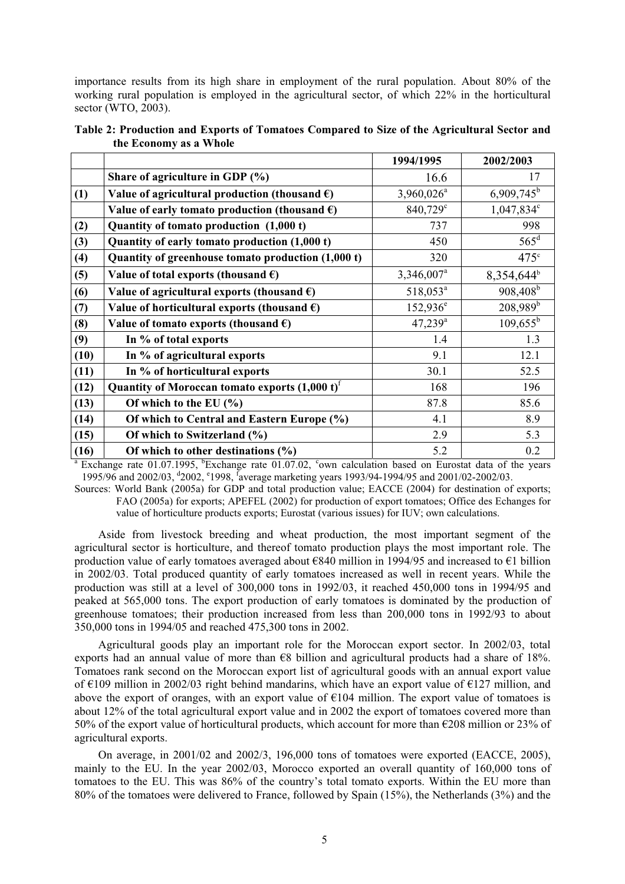importance results from its high share in employment of the rural population. About 80% of the working rural population is employed in the agricultural sector, of which 22% in the horticultural sector (WTO, 2003).

|      |                                                         | 1994/1995              | 2002/2003                |
|------|---------------------------------------------------------|------------------------|--------------------------|
|      | Share of agriculture in GDP (%)                         | 16.6                   | 17                       |
| (1)  | Value of agricultural production (thousand $\epsilon$ ) | $3,960,026^a$          | $6,909,745$ <sup>b</sup> |
|      | Value of early tomato production (thousand $\epsilon$ ) | 840,729 <sup>c</sup>   | 1,047,834°               |
| (2)  | Quantity of tomato production (1,000 t)                 | 737                    | 998                      |
| (3)  | Quantity of early tomato production (1,000 t)           | 450                    | $565^{\rm d}$            |
| (4)  | Quantity of greenhouse tomato production (1,000 t)      | 320                    | $475^\circ$              |
| (5)  | Value of total exports (thousand $\epsilon$ )           | 3,346,007 <sup>a</sup> | 8,354,644 <sup>b</sup>   |
| (6)  | Value of agricultural exports (thousand $\epsilon$ )    | 518,053 <sup>a</sup>   | 908,408 <sup>b</sup>     |
| (7)  | Value of horticultural exports (thousand $\epsilon$ )   | $152,936^e$            | $208,989^b$              |
| (8)  | Value of tomato exports (thousand $\epsilon$ )          | $47,239$ <sup>a</sup>  | $109,655^{\rm b}$        |
| (9)  | In % of total exports                                   | 1.4                    | 1.3                      |
| (10) | In % of agricultural exports                            | 9.1                    | 12.1                     |
| (11) | In % of horticultural exports                           | 30.1                   | 52.5                     |
| (12) | Quantity of Moroccan tomato exports $(1,000 t)^T$       | 168                    | 196                      |
| (13) | Of which to the EU $(\% )$                              | 87.8                   | 85.6                     |
| (14) | Of which to Central and Eastern Europe (%)              | 4.1                    | 8.9                      |
| (15) | Of which to Switzerland (%)                             | 2.9                    | 5.3                      |
| (16) | Of which to other destinations $(\% )$                  | 5.2                    | 0.2                      |

**Table 2: Production and Exports of Tomatoes Compared to Size of the Agricultural Sector and the Economy as a Whole** 

<sup>a</sup> Exchange rate 01.07.1995, <sup>b</sup>Exchange rate 01.07.02, <sup>c</sup>own calculation based on Eurostat data of the years 1995/96 and 2002/03, <sup>d</sup>2002, <sup>e</sup>1998, <sup>f</sup>average marketing years 1993/94-1994/95 and 2001/02-2002/03.

Sources: World Bank (2005a) for GDP and total production value; EACCE (2004) for destination of exports; FAO (2005a) for exports; APEFEL (2002) for production of export tomatoes; Office des Echanges for value of horticulture products exports; Eurostat (various issues) for IUV; own calculations.

Aside from livestock breeding and wheat production, the most important segment of the agricultural sector is horticulture, and thereof tomato production plays the most important role. The production value of early tomatoes averaged about €840 million in 1994/95 and increased to €1 billion in 2002/03. Total produced quantity of early tomatoes increased as well in recent years. While the production was still at a level of 300,000 tons in 1992/03, it reached 450,000 tons in 1994/95 and peaked at 565,000 tons. The export production of early tomatoes is dominated by the production of greenhouse tomatoes; their production increased from less than 200,000 tons in 1992/93 to about 350,000 tons in 1994/05 and reached 475,300 tons in 2002.

Agricultural goods play an important role for the Moroccan export sector. In 2002/03, total exports had an annual value of more than €8 billion and agricultural products had a share of 18%. Tomatoes rank second on the Moroccan export list of agricultural goods with an annual export value of  $\epsilon$ 109 million in 2002/03 right behind mandarins, which have an export value of  $\epsilon$ 127 million, and above the export of oranges, with an export value of  $E104$  million. The export value of tomatoes is about 12% of the total agricultural export value and in 2002 the export of tomatoes covered more than 50% of the export value of horticultural products, which account for more than €208 million or 23% of agricultural exports.

On average, in 2001/02 and 2002/3, 196,000 tons of tomatoes were exported (EACCE, 2005), mainly to the EU. In the year 2002/03, Morocco exported an overall quantity of 160,000 tons of tomatoes to the EU. This was 86% of the country's total tomato exports. Within the EU more than 80% of the tomatoes were delivered to France, followed by Spain (15%), the Netherlands (3%) and the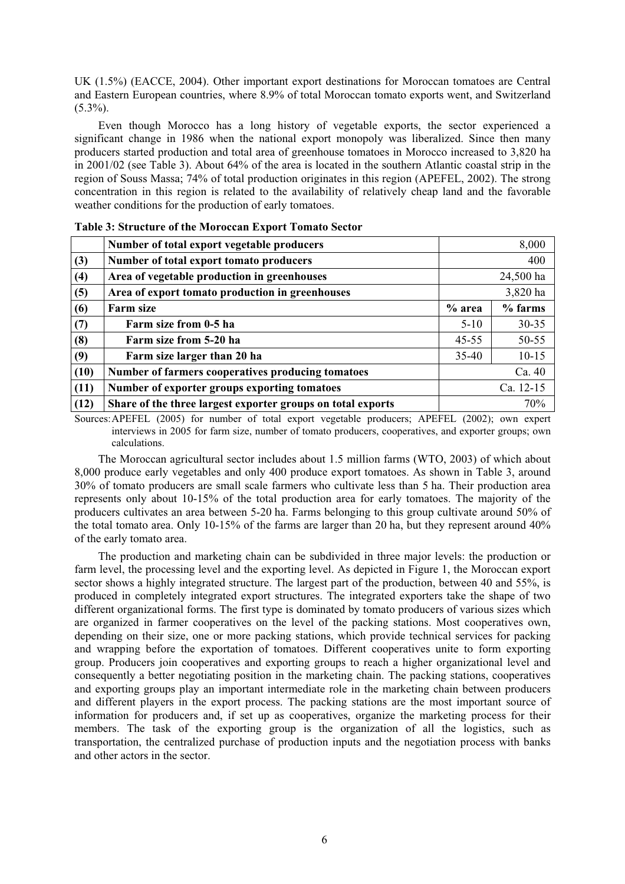UK (1.5%) (EACCE, 2004). Other important export destinations for Moroccan tomatoes are Central and Eastern European countries, where 8.9% of total Moroccan tomato exports went, and Switzerland  $(5.3\%)$ .

Even though Morocco has a long history of vegetable exports, the sector experienced a significant change in 1986 when the national export monopoly was liberalized. Since then many producers started production and total area of greenhouse tomatoes in Morocco increased to 3,820 ha in 2001/02 (see Table 3). About 64% of the area is located in the southern Atlantic coastal strip in the region of Souss Massa; 74% of total production originates in this region (APEFEL, 2002). The strong concentration in this region is related to the availability of relatively cheap land and the favorable weather conditions for the production of early tomatoes.

|      | Number of total export vegetable producers                         |           | 8,000     |  |
|------|--------------------------------------------------------------------|-----------|-----------|--|
| (3)  | Number of total export tomato producers                            |           | 400       |  |
| (4)  | Area of vegetable production in greenhouses                        | 24,500 ha |           |  |
| (5)  | Area of export tomato production in greenhouses                    | 3,820 ha  |           |  |
| (6)  | <b>Farm size</b>                                                   | % area    | $%$ farms |  |
| (7)  | Farm size from 0-5 ha                                              | $5 - 10$  | $30 - 35$ |  |
| (8)  | Farm size from 5-20 ha                                             | $45 - 55$ | 50-55     |  |
| (9)  | Farm size larger than 20 ha                                        | $35 - 40$ | $10 - 15$ |  |
| (10) | Number of farmers cooperatives producing tomatoes                  |           | Ca. 40    |  |
| (11) | Number of exporter groups exporting tomatoes                       |           | Ca. 12-15 |  |
| (12) | 70%<br>Share of the three largest exporter groups on total exports |           |           |  |

Sources: APEFEL (2005) for number of total export vegetable producers; APEFEL (2002); own expert interviews in 2005 for farm size, number of tomato producers, cooperatives, and exporter groups; own calculations.

The Moroccan agricultural sector includes about 1.5 million farms (WTO, 2003) of which about 8,000 produce early vegetables and only 400 produce export tomatoes. As shown in Table 3, around 30% of tomato producers are small scale farmers who cultivate less than 5 ha. Their production area represents only about 10-15% of the total production area for early tomatoes. The majority of the producers cultivates an area between 5-20 ha. Farms belonging to this group cultivate around 50% of the total tomato area. Only 10-15% of the farms are larger than 20 ha, but they represent around 40% of the early tomato area.

The production and marketing chain can be subdivided in three major levels: the production or farm level, the processing level and the exporting level. As depicted in Figure 1, the Moroccan export sector shows a highly integrated structure. The largest part of the production, between 40 and 55%, is produced in completely integrated export structures. The integrated exporters take the shape of two different organizational forms. The first type is dominated by tomato producers of various sizes which are organized in farmer cooperatives on the level of the packing stations. Most cooperatives own, depending on their size, one or more packing stations, which provide technical services for packing and wrapping before the exportation of tomatoes. Different cooperatives unite to form exporting group. Producers join cooperatives and exporting groups to reach a higher organizational level and consequently a better negotiating position in the marketing chain. The packing stations, cooperatives and exporting groups play an important intermediate role in the marketing chain between producers and different players in the export process. The packing stations are the most important source of information for producers and, if set up as cooperatives, organize the marketing process for their members. The task of the exporting group is the organization of all the logistics, such as transportation, the centralized purchase of production inputs and the negotiation process with banks and other actors in the sector.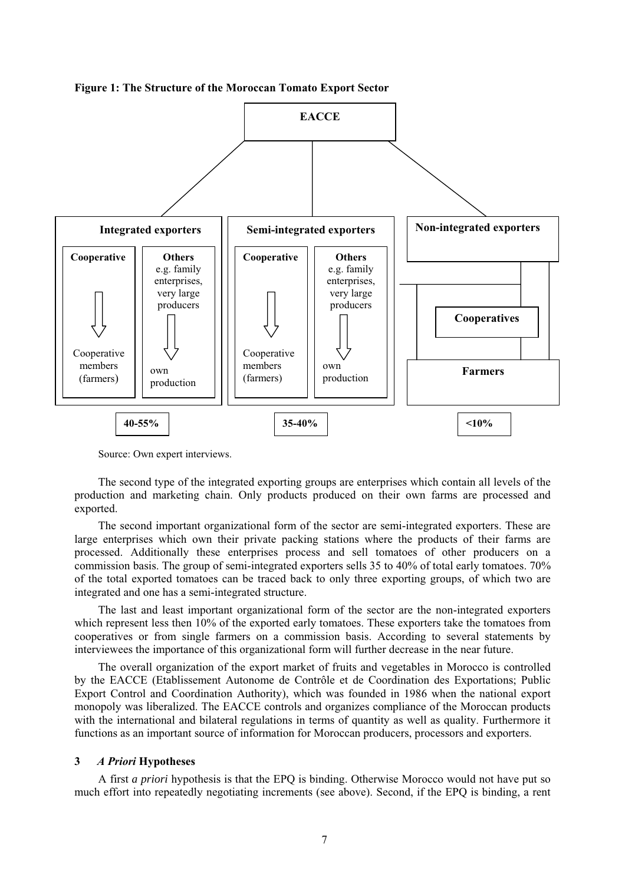



Source: Own expert interviews.

The second type of the integrated exporting groups are enterprises which contain all levels of the production and marketing chain. Only products produced on their own farms are processed and exported.

The second important organizational form of the sector are semi-integrated exporters. These are large enterprises which own their private packing stations where the products of their farms are processed. Additionally these enterprises process and sell tomatoes of other producers on a commission basis. The group of semi-integrated exporters sells 35 to 40% of total early tomatoes. 70% of the total exported tomatoes can be traced back to only three exporting groups, of which two are integrated and one has a semi-integrated structure.

The last and least important organizational form of the sector are the non-integrated exporters which represent less then 10% of the exported early tomatoes. These exporters take the tomatoes from cooperatives or from single farmers on a commission basis. According to several statements by interviewees the importance of this organizational form will further decrease in the near future.

The overall organization of the export market of fruits and vegetables in Morocco is controlled by the EACCE (Etablissement Autonome de Contrôle et de Coordination des Exportations; Public Export Control and Coordination Authority), which was founded in 1986 when the national export monopoly was liberalized. The EACCE controls and organizes compliance of the Moroccan products with the international and bilateral regulations in terms of quantity as well as quality. Furthermore it functions as an important source of information for Moroccan producers, processors and exporters.

## **3** *A Priori* **Hypotheses**

A first *a priori* hypothesis is that the EPQ is binding. Otherwise Morocco would not have put so much effort into repeatedly negotiating increments (see above). Second, if the EPQ is binding, a rent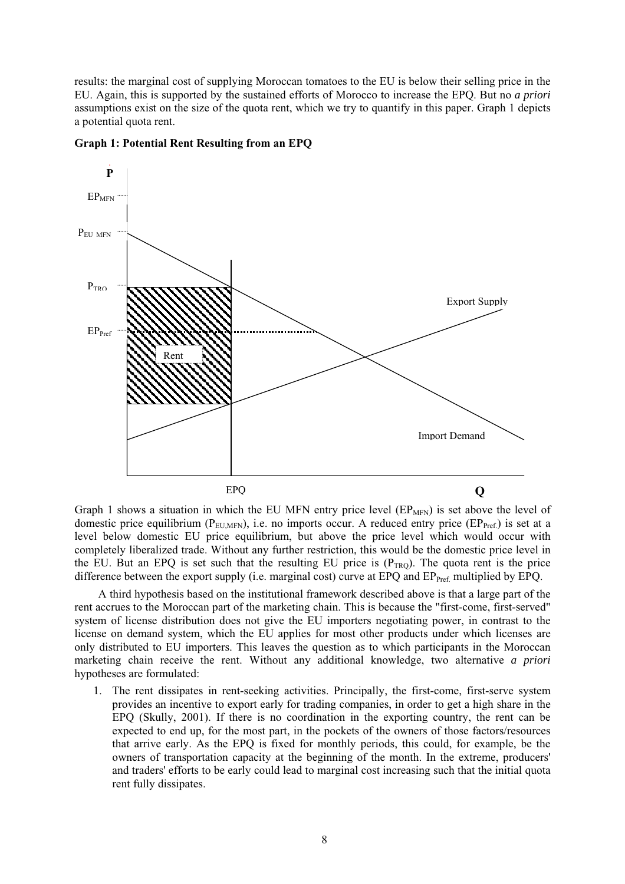results: the marginal cost of supplying Moroccan tomatoes to the EU is below their selling price in the EU. Again, this is supported by the sustained efforts of Morocco to increase the EPQ. But no *a priori* assumptions exist on the size of the quota rent, which we try to quantify in this paper. Graph 1 depicts a potential quota rent.



#### **Graph 1: Potential Rent Resulting from an EPQ**

Graph 1 shows a situation in which the EU MFN entry price level  $(EP<sub>MFN</sub>)$  is set above the level of domestic price equilibrium ( $P_{\text{EUMEN}}$ ), i.e. no imports occur. A reduced entry price ( $EP_{\text{Pref}}$ ) is set at a level below domestic EU price equilibrium, but above the price level which would occur with completely liberalized trade. Without any further restriction, this would be the domestic price level in the EU. But an EPQ is set such that the resulting EU price is  $(P_{TRO})$ . The quota rent is the price difference between the export supply (i.e. marginal cost) curve at EPQ and EP<sub>Pref.</sub> multiplied by EPQ.

A third hypothesis based on the institutional framework described above is that a large part of the rent accrues to the Moroccan part of the marketing chain. This is because the "first-come, first-served" system of license distribution does not give the EU importers negotiating power, in contrast to the license on demand system, which the EU applies for most other products under which licenses are only distributed to EU importers. This leaves the question as to which participants in the Moroccan marketing chain receive the rent. Without any additional knowledge, two alternative *a priori* hypotheses are formulated:

1. The rent dissipates in rent-seeking activities. Principally, the first-come, first-serve system provides an incentive to export early for trading companies, in order to get a high share in the EPQ (Skully, 2001). If there is no coordination in the exporting country, the rent can be expected to end up, for the most part, in the pockets of the owners of those factors/resources that arrive early. As the EPQ is fixed for monthly periods, this could, for example, be the owners of transportation capacity at the beginning of the month. In the extreme, producers' and traders' efforts to be early could lead to marginal cost increasing such that the initial quota rent fully dissipates.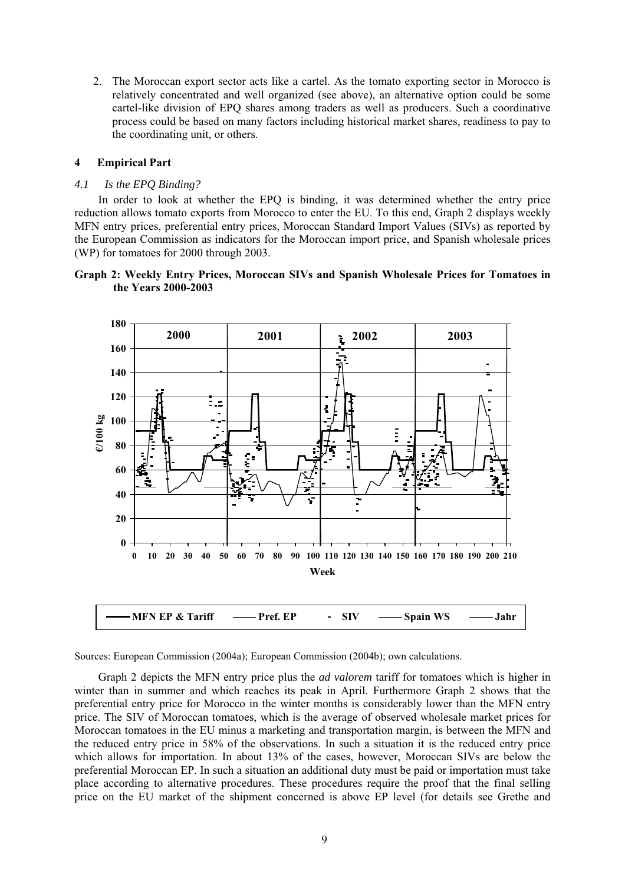2. The Moroccan export sector acts like a cartel. As the tomato exporting sector in Morocco is relatively concentrated and well organized (see above), an alternative option could be some cartel-like division of EPQ shares among traders as well as producers. Such a coordinative process could be based on many factors including historical market shares, readiness to pay to the coordinating unit, or others.

# **4 Empirical Part**

# *4.1 Is the EPQ Binding?*

In order to look at whether the EPQ is binding, it was determined whether the entry price reduction allows tomato exports from Morocco to enter the EU. To this end, Graph 2 displays weekly MFN entry prices, preferential entry prices, Moroccan Standard Import Values (SIVs) as reported by the European Commission as indicators for the Moroccan import price, and Spanish wholesale prices (WP) for tomatoes for 2000 through 2003.

# **Graph 2: Weekly Entry Prices, Moroccan SIVs and Spanish Wholesale Prices for Tomatoes in the Years 2000-2003**



Sources: European Commission (2004a); European Commission (2004b); own calculations.

Graph 2 depicts the MFN entry price plus the *ad valorem* tariff for tomatoes which is higher in winter than in summer and which reaches its peak in April. Furthermore Graph 2 shows that the preferential entry price for Morocco in the winter months is considerably lower than the MFN entry price. The SIV of Moroccan tomatoes, which is the average of observed wholesale market prices for Moroccan tomatoes in the EU minus a marketing and transportation margin, is between the MFN and the reduced entry price in 58% of the observations. In such a situation it is the reduced entry price which allows for importation. In about 13% of the cases, however, Moroccan SIVs are below the preferential Moroccan EP. In such a situation an additional duty must be paid or importation must take place according to alternative procedures. These procedures require the proof that the final selling price on the EU market of the shipment concerned is above EP level (for details see Grethe and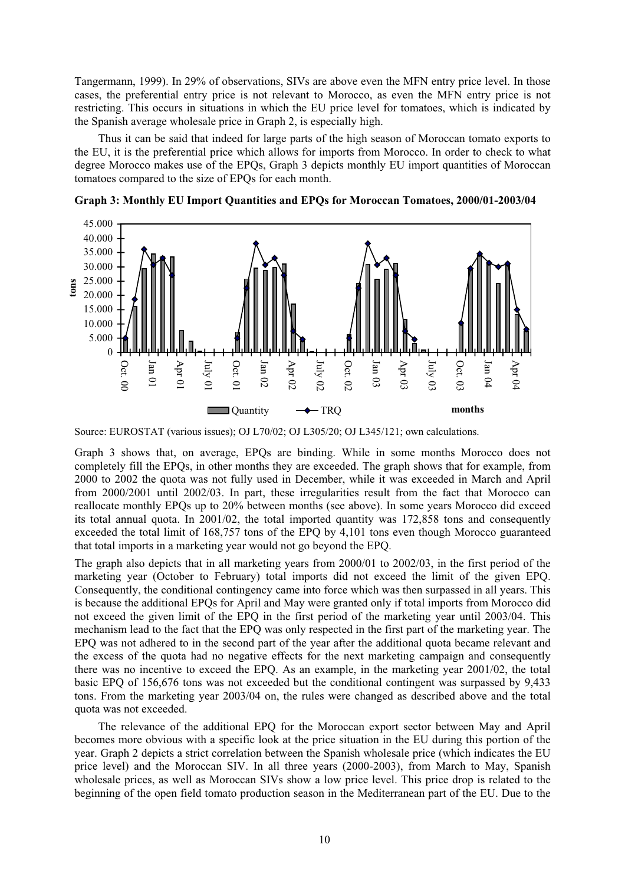Tangermann, 1999). In 29% of observations, SIVs are above even the MFN entry price level. In those cases, the preferential entry price is not relevant to Morocco, as even the MFN entry price is not restricting. This occurs in situations in which the EU price level for tomatoes, which is indicated by the Spanish average wholesale price in Graph 2, is especially high.

Thus it can be said that indeed for large parts of the high season of Moroccan tomato exports to the EU, it is the preferential price which allows for imports from Morocco. In order to check to what degree Morocco makes use of the EPQs, Graph 3 depicts monthly EU import quantities of Moroccan tomatoes compared to the size of EPQs for each month.



**Graph 3: Monthly EU Import Quantities and EPQs for Moroccan Tomatoes, 2000/01-2003/04** 

Graph 3 shows that, on average, EPQs are binding. While in some months Morocco does not completely fill the EPQs, in other months they are exceeded. The graph shows that for example, from 2000 to 2002 the quota was not fully used in December, while it was exceeded in March and April from 2000/2001 until 2002/03. In part, these irregularities result from the fact that Morocco can reallocate monthly EPQs up to 20% between months (see above). In some years Morocco did exceed its total annual quota. In 2001/02, the total imported quantity was 172,858 tons and consequently exceeded the total limit of 168,757 tons of the EPQ by 4,101 tons even though Morocco guaranteed that total imports in a marketing year would not go beyond the EPQ.

The graph also depicts that in all marketing years from 2000/01 to 2002/03, in the first period of the marketing year (October to February) total imports did not exceed the limit of the given EPQ. Consequently, the conditional contingency came into force which was then surpassed in all years. This is because the additional EPQs for April and May were granted only if total imports from Morocco did not exceed the given limit of the EPQ in the first period of the marketing year until 2003/04. This mechanism lead to the fact that the EPQ was only respected in the first part of the marketing year. The EPQ was not adhered to in the second part of the year after the additional quota became relevant and the excess of the quota had no negative effects for the next marketing campaign and consequently there was no incentive to exceed the EPQ. As an example, in the marketing year 2001/02, the total basic EPQ of 156,676 tons was not exceeded but the conditional contingent was surpassed by 9,433 tons. From the marketing year 2003/04 on, the rules were changed as described above and the total quota was not exceeded.

The relevance of the additional EPQ for the Moroccan export sector between May and April becomes more obvious with a specific look at the price situation in the EU during this portion of the year. Graph 2 depicts a strict correlation between the Spanish wholesale price (which indicates the EU price level) and the Moroccan SIV. In all three years (2000-2003), from March to May, Spanish wholesale prices, as well as Moroccan SIVs show a low price level. This price drop is related to the beginning of the open field tomato production season in the Mediterranean part of the EU. Due to the

Source: EUROSTAT (various issues); OJ L70/02; OJ L305/20; OJ L345/121; own calculations.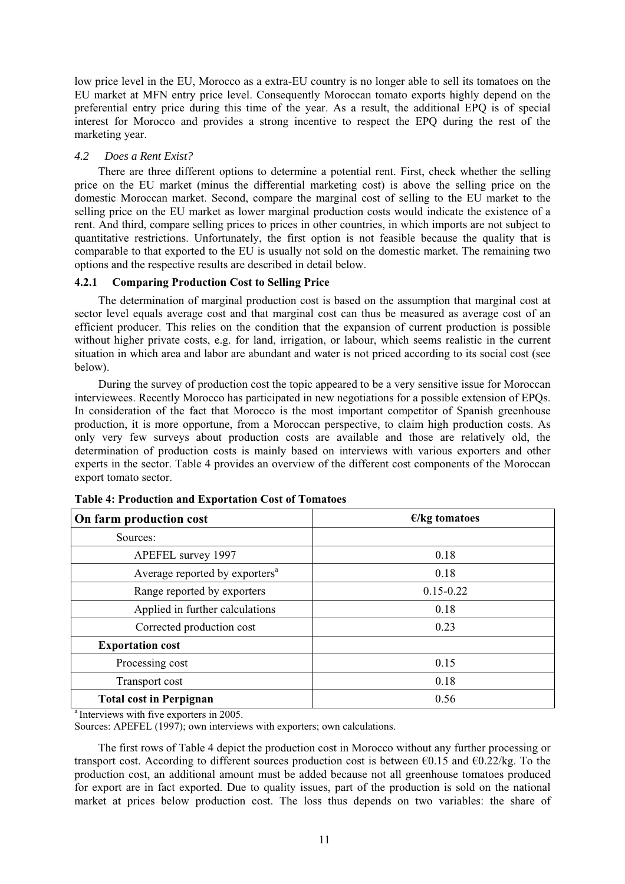low price level in the EU, Morocco as a extra-EU country is no longer able to sell its tomatoes on the EU market at MFN entry price level. Consequently Moroccan tomato exports highly depend on the preferential entry price during this time of the year. As a result, the additional EPQ is of special interest for Morocco and provides a strong incentive to respect the EPQ during the rest of the marketing year.

# *4.2 Does a Rent Exist?*

There are three different options to determine a potential rent. First, check whether the selling price on the EU market (minus the differential marketing cost) is above the selling price on the domestic Moroccan market. Second, compare the marginal cost of selling to the EU market to the selling price on the EU market as lower marginal production costs would indicate the existence of a rent. And third, compare selling prices to prices in other countries, in which imports are not subject to quantitative restrictions. Unfortunately, the first option is not feasible because the quality that is comparable to that exported to the EU is usually not sold on the domestic market. The remaining two options and the respective results are described in detail below.

# **4.2.1 Comparing Production Cost to Selling Price**

The determination of marginal production cost is based on the assumption that marginal cost at sector level equals average cost and that marginal cost can thus be measured as average cost of an efficient producer. This relies on the condition that the expansion of current production is possible without higher private costs, e.g. for land, irrigation, or labour, which seems realistic in the current situation in which area and labor are abundant and water is not priced according to its social cost (see below).

During the survey of production cost the topic appeared to be a very sensitive issue for Moroccan interviewees. Recently Morocco has participated in new negotiations for a possible extension of EPQs. In consideration of the fact that Morocco is the most important competitor of Spanish greenhouse production, it is more opportune, from a Moroccan perspective, to claim high production costs. As only very few surveys about production costs are available and those are relatively old, the determination of production costs is mainly based on interviews with various exporters and other experts in the sector. Table 4 provides an overview of the different cost components of the Moroccan export tomato sector.

| On farm production cost                    | $\epsilon$ /kg tomatoes |  |  |
|--------------------------------------------|-------------------------|--|--|
| Sources:                                   |                         |  |  |
| APEFEL survey 1997                         | 0.18                    |  |  |
| Average reported by exporters <sup>a</sup> | 0.18                    |  |  |
| Range reported by exporters                | $0.15 - 0.22$           |  |  |
| Applied in further calculations            | 0.18                    |  |  |
| Corrected production cost                  | 0.23                    |  |  |
| <b>Exportation cost</b>                    |                         |  |  |
| Processing cost                            | 0.15                    |  |  |
| Transport cost                             | 0.18                    |  |  |
| <b>Total cost in Perpignan</b>             | 0.56                    |  |  |

# **Table 4: Production and Exportation Cost of Tomatoes**

<sup>a</sup> Interviews with five exporters in 2005. Sources: APEFEL (1997); own interviews with exporters; own calculations.

The first rows of Table 4 depict the production cost in Morocco without any further processing or transport cost. According to different sources production cost is between  $\epsilon$ 0.15 and  $\epsilon$ 0.22/kg. To the production cost, an additional amount must be added because not all greenhouse tomatoes produced for export are in fact exported. Due to quality issues, part of the production is sold on the national market at prices below production cost. The loss thus depends on two variables: the share of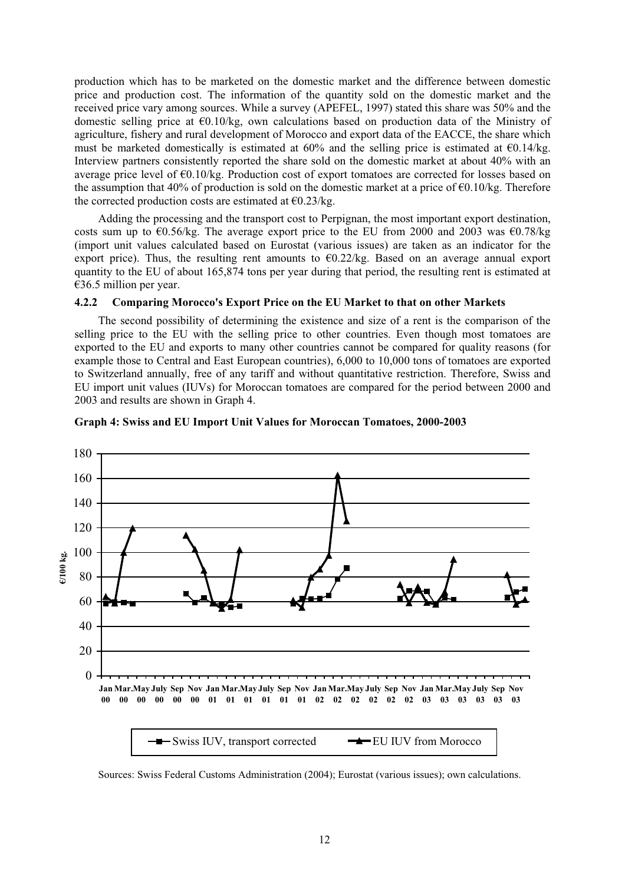production which has to be marketed on the domestic market and the difference between domestic price and production cost. The information of the quantity sold on the domestic market and the received price vary among sources. While a survey (APEFEL, 1997) stated this share was 50% and the domestic selling price at  $\epsilon$ 0.10/kg, own calculations based on production data of the Ministry of agriculture, fishery and rural development of Morocco and export data of the EACCE, the share which must be marketed domestically is estimated at  $60\%$  and the selling price is estimated at  $60.14\text{/kg}$ . Interview partners consistently reported the share sold on the domestic market at about 40% with an average price level of €0.10/kg. Production cost of export tomatoes are corrected for losses based on the assumption that 40% of production is sold on the domestic market at a price of  $\epsilon$ 0.10/kg. Therefore the corrected production costs are estimated at  $\epsilon$ 0.23/kg.

Adding the processing and the transport cost to Perpignan, the most important export destination, costs sum up to  $\epsilon$ 0.56/kg. The average export price to the EU from 2000 and 2003 was  $\epsilon$ 0.78/kg (import unit values calculated based on Eurostat (various issues) are taken as an indicator for the export price). Thus, the resulting rent amounts to  $\epsilon$ 0.22/kg. Based on an average annual export quantity to the EU of about 165,874 tons per year during that period, the resulting rent is estimated at  $€36.5$  million per year.

# **4.2.2 Comparing Morocco's Export Price on the EU Market to that on other Markets**

The second possibility of determining the existence and size of a rent is the comparison of the selling price to the EU with the selling price to other countries. Even though most tomatoes are exported to the EU and exports to many other countries cannot be compared for quality reasons (for example those to Central and East European countries), 6,000 to 10,000 tons of tomatoes are exported to Switzerland annually, free of any tariff and without quantitative restriction. Therefore, Swiss and EU import unit values (IUVs) for Moroccan tomatoes are compared for the period between 2000 and 2003 and results are shown in Graph 4.



#### **Graph 4: Swiss and EU Import Unit Values for Moroccan Tomatoes, 2000-2003**

Sources: Swiss Federal Customs Administration (2004); Eurostat (various issues); own calculations.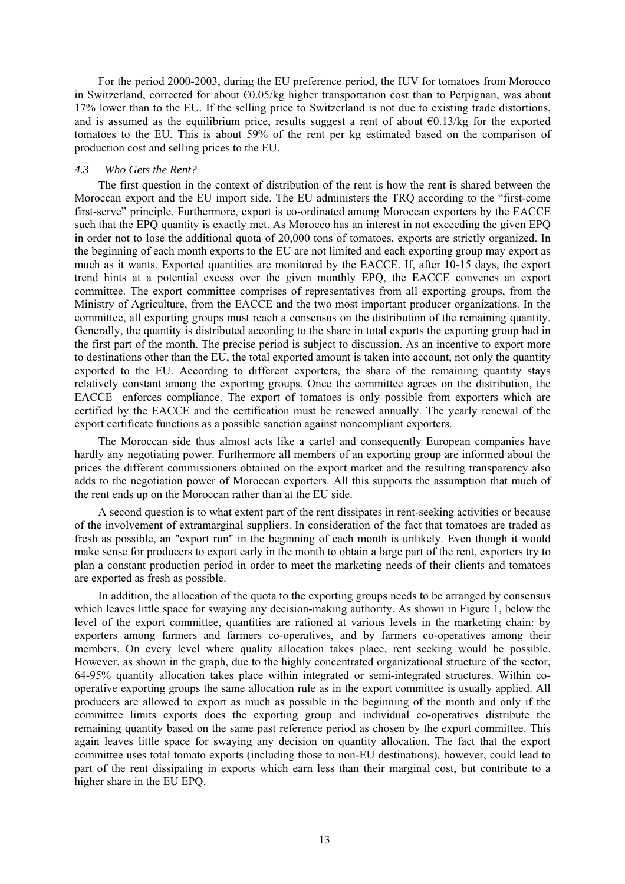For the period 2000-2003, during the EU preference period, the IUV for tomatoes from Morocco in Switzerland, corrected for about  $\epsilon 0.05/kg$  higher transportation cost than to Perpignan, was about 17% lower than to the EU. If the selling price to Switzerland is not due to existing trade distortions, and is assumed as the equilibrium price, results suggest a rent of about  $\epsilon$ 0.13/kg for the exported tomatoes to the EU. This is about 59% of the rent per kg estimated based on the comparison of production cost and selling prices to the EU.

# *4.3 Who Gets the Rent?*

The first question in the context of distribution of the rent is how the rent is shared between the Moroccan export and the EU import side. The EU administers the TRQ according to the "first-come first-serve" principle. Furthermore, export is co-ordinated among Moroccan exporters by the EACCE such that the EPQ quantity is exactly met. As Morocco has an interest in not exceeding the given EPQ in order not to lose the additional quota of 20,000 tons of tomatoes, exports are strictly organized. In the beginning of each month exports to the EU are not limited and each exporting group may export as much as it wants. Exported quantities are monitored by the EACCE. If, after 10-15 days, the export trend hints at a potential excess over the given monthly EPQ, the EACCE convenes an export committee. The export committee comprises of representatives from all exporting groups, from the Ministry of Agriculture, from the EACCE and the two most important producer organizations. In the committee, all exporting groups must reach a consensus on the distribution of the remaining quantity. Generally, the quantity is distributed according to the share in total exports the exporting group had in the first part of the month. The precise period is subject to discussion. As an incentive to export more to destinations other than the EU, the total exported amount is taken into account, not only the quantity exported to the EU. According to different exporters, the share of the remaining quantity stays relatively constant among the exporting groups. Once the committee agrees on the distribution, the EACCE enforces compliance. The export of tomatoes is only possible from exporters which are certified by the EACCE and the certification must be renewed annually. The yearly renewal of the export certificate functions as a possible sanction against noncompliant exporters.

The Moroccan side thus almost acts like a cartel and consequently European companies have hardly any negotiating power. Furthermore all members of an exporting group are informed about the prices the different commissioners obtained on the export market and the resulting transparency also adds to the negotiation power of Moroccan exporters. All this supports the assumption that much of the rent ends up on the Moroccan rather than at the EU side.

A second question is to what extent part of the rent dissipates in rent-seeking activities or because of the involvement of extramarginal suppliers. In consideration of the fact that tomatoes are traded as fresh as possible, an "export run" in the beginning of each month is unlikely. Even though it would make sense for producers to export early in the month to obtain a large part of the rent, exporters try to plan a constant production period in order to meet the marketing needs of their clients and tomatoes are exported as fresh as possible.

In addition, the allocation of the quota to the exporting groups needs to be arranged by consensus which leaves little space for swaying any decision-making authority. As shown in Figure 1, below the level of the export committee, quantities are rationed at various levels in the marketing chain: by exporters among farmers and farmers co-operatives, and by farmers co-operatives among their members. On every level where quality allocation takes place, rent seeking would be possible. However, as shown in the graph, due to the highly concentrated organizational structure of the sector, 64-95% quantity allocation takes place within integrated or semi-integrated structures. Within cooperative exporting groups the same allocation rule as in the export committee is usually applied. All producers are allowed to export as much as possible in the beginning of the month and only if the committee limits exports does the exporting group and individual co-operatives distribute the remaining quantity based on the same past reference period as chosen by the export committee. This again leaves little space for swaying any decision on quantity allocation. The fact that the export committee uses total tomato exports (including those to non-EU destinations), however, could lead to part of the rent dissipating in exports which earn less than their marginal cost, but contribute to a higher share in the EU EPQ.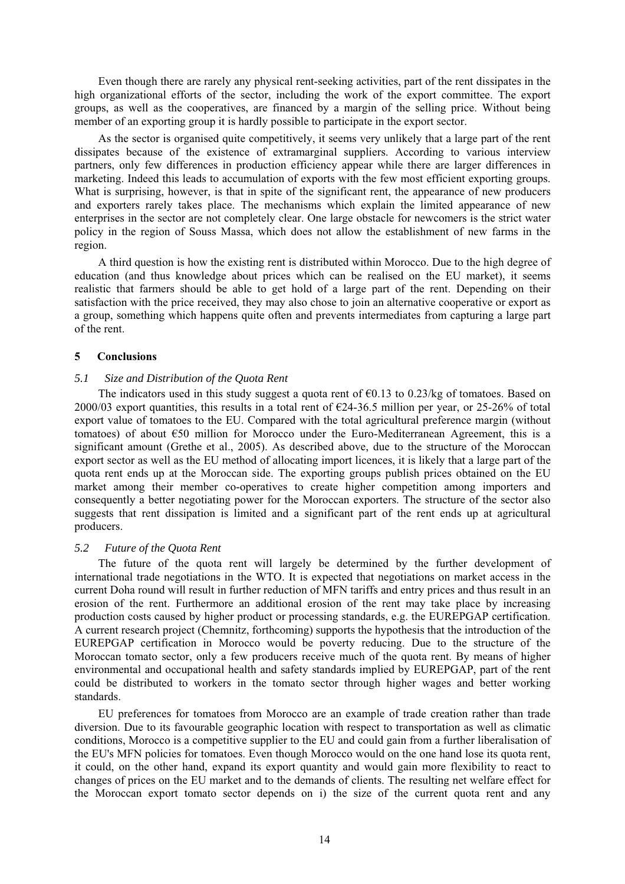Even though there are rarely any physical rent-seeking activities, part of the rent dissipates in the high organizational efforts of the sector, including the work of the export committee. The export groups, as well as the cooperatives, are financed by a margin of the selling price. Without being member of an exporting group it is hardly possible to participate in the export sector.

As the sector is organised quite competitively, it seems very unlikely that a large part of the rent dissipates because of the existence of extramarginal suppliers. According to various interview partners, only few differences in production efficiency appear while there are larger differences in marketing. Indeed this leads to accumulation of exports with the few most efficient exporting groups. What is surprising, however, is that in spite of the significant rent, the appearance of new producers and exporters rarely takes place. The mechanisms which explain the limited appearance of new enterprises in the sector are not completely clear. One large obstacle for newcomers is the strict water policy in the region of Souss Massa, which does not allow the establishment of new farms in the region.

A third question is how the existing rent is distributed within Morocco. Due to the high degree of education (and thus knowledge about prices which can be realised on the EU market), it seems realistic that farmers should be able to get hold of a large part of the rent. Depending on their satisfaction with the price received, they may also chose to join an alternative cooperative or export as a group, something which happens quite often and prevents intermediates from capturing a large part of the rent.

# **5 Conclusions**

# *5.1 Size and Distribution of the Quota Rent*

The indicators used in this study suggest a quota rent of  $\epsilon$ 0.13 to 0.23/kg of tomatoes. Based on 2000/03 export quantities, this results in a total rent of  $\epsilon$ 24-36.5 million per year, or 25-26% of total export value of tomatoes to the EU. Compared with the total agricultural preference margin (without tomatoes) of about €50 million for Morocco under the Euro-Mediterranean Agreement, this is a significant amount (Grethe et al., 2005). As described above, due to the structure of the Moroccan export sector as well as the EU method of allocating import licences, it is likely that a large part of the quota rent ends up at the Moroccan side. The exporting groups publish prices obtained on the EU market among their member co-operatives to create higher competition among importers and consequently a better negotiating power for the Moroccan exporters. The structure of the sector also suggests that rent dissipation is limited and a significant part of the rent ends up at agricultural producers.

## *5.2 Future of the Quota Rent*

The future of the quota rent will largely be determined by the further development of international trade negotiations in the WTO. It is expected that negotiations on market access in the current Doha round will result in further reduction of MFN tariffs and entry prices and thus result in an erosion of the rent. Furthermore an additional erosion of the rent may take place by increasing production costs caused by higher product or processing standards, e.g. the EUREPGAP certification. A current research project (Chemnitz, forthcoming) supports the hypothesis that the introduction of the EUREPGAP certification in Morocco would be poverty reducing. Due to the structure of the Moroccan tomato sector, only a few producers receive much of the quota rent. By means of higher environmental and occupational health and safety standards implied by EUREPGAP, part of the rent could be distributed to workers in the tomato sector through higher wages and better working standards.

EU preferences for tomatoes from Morocco are an example of trade creation rather than trade diversion. Due to its favourable geographic location with respect to transportation as well as climatic conditions, Morocco is a competitive supplier to the EU and could gain from a further liberalisation of the EU's MFN policies for tomatoes. Even though Morocco would on the one hand lose its quota rent, it could, on the other hand, expand its export quantity and would gain more flexibility to react to changes of prices on the EU market and to the demands of clients. The resulting net welfare effect for the Moroccan export tomato sector depends on i) the size of the current quota rent and any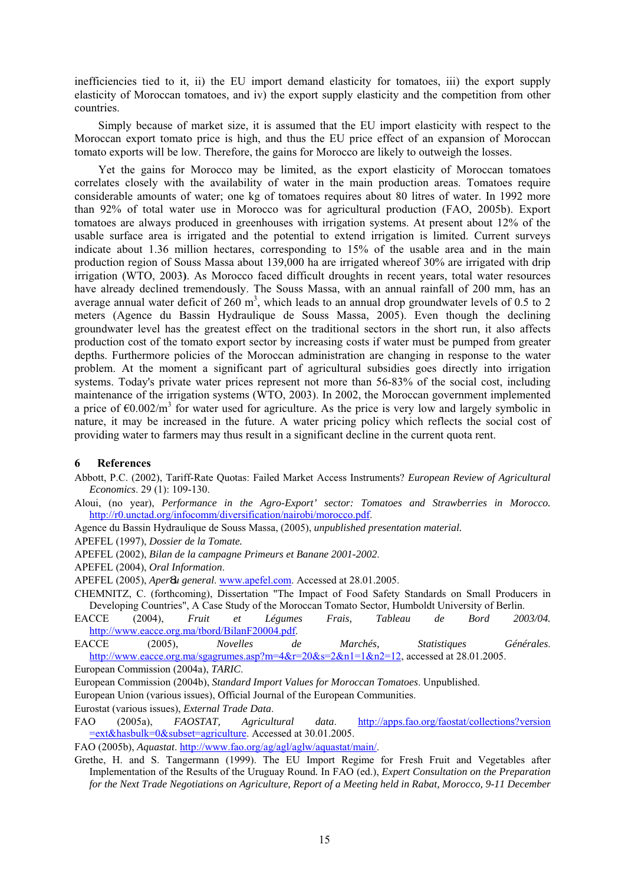inefficiencies tied to it, ii) the EU import demand elasticity for tomatoes, iii) the export supply elasticity of Moroccan tomatoes, and iv) the export supply elasticity and the competition from other countries.

Simply because of market size, it is assumed that the EU import elasticity with respect to the Moroccan export tomato price is high, and thus the EU price effect of an expansion of Moroccan tomato exports will be low. Therefore, the gains for Morocco are likely to outweigh the losses.

Yet the gains for Morocco may be limited, as the export elasticity of Moroccan tomatoes correlates closely with the availability of water in the main production areas. Tomatoes require considerable amounts of water; one kg of tomatoes requires about 80 litres of water. In 1992 more than 92% of total water use in Morocco was for agricultural production (FAO, 2005b). Export tomatoes are always produced in greenhouses with irrigation systems. At present about 12% of the usable surface area is irrigated and the potential to extend irrigation is limited. Current surveys indicate about 1.36 million hectares, corresponding to 15% of the usable area and in the main production region of Souss Massa about 139,000 ha are irrigated whereof 30% are irrigated with drip irrigation (WTO, 2003**)**. As Morocco faced difficult droughts in recent years, total water resources have already declined tremendously. The Souss Massa, with an annual rainfall of 200 mm, has an average annual water deficit of 260  $m^3$ , which leads to an annual drop groundwater levels of 0.5 to 2 meters (Agence du Bassin Hydraulique de Souss Massa, 2005). Even though the declining groundwater level has the greatest effect on the traditional sectors in the short run, it also affects production cost of the tomato export sector by increasing costs if water must be pumped from greater depths. Furthermore policies of the Moroccan administration are changing in response to the water problem. At the moment a significant part of agricultural subsidies goes directly into irrigation systems. Today's private water prices represent not more than 56-83% of the social cost, including maintenance of the irrigation systems (WTO, 2003). In 2002, the Moroccan government implemented a price of  $\epsilon$ 0.002/m<sup>3</sup> for water used for agriculture. As the price is very low and largely symbolic in nature, it may be increased in the future. A water pricing policy which reflects the social cost of providing water to farmers may thus result in a significant decline in the current quota rent.

## **6 References**

- Abbott, P.C. (2002), Tariff-Rate Quotas: Failed Market Access Instruments? *European Review of Agricultural Economics*. 29 (1): 109-130.
- Aloui, (no year), *Performance in the Agro-Export' sector: Tomatoes and Strawberries in Morocco.* http://r0.unctad.org/infocomm/diversification/nairobi/morocco.pdf.
- Agence du Bassin Hydraulique de Souss Massa, (2005), *unpublished presentation material.*
- APEFEL (1997), *Dossier de la Tomate.*
- APEFEL (2002), *Bilan de la campagne Primeurs et Banane 2001-2002*.

APEFEL (2004), *Oral Information*.

- APEFEL (2005), *Aper u general*. www.apefel.com. Accessed at 28.01.2005.
- CHEMNITZ, C. (forthcoming), Dissertation "The Impact of Food Safety Standards on Small Producers in Developing Countries", A Case Study of the Moroccan Tomato Sector, Humboldt University of Berlin.
- EACCE (2004), *Fruit et Légumes Frais, Tableau de Bord 2003/04.* http://www.eacce.org.ma/tbord/BilanF20004.pdf.
- EACCE (2005), *Novelles de Marchés, Statistiques Générales*. http://www.eacce.org.ma/sgagrumes.asp?m=4&r=20&s=2&n1=1&n2=12, accessed at 28.01.2005.
- European Commission (2004a), *TARIC*.
- European Commission (2004b), *Standard Import Values for Moroccan Tomatoes*. Unpublished.
- European Union (various issues), Official Journal of the European Communities.
- Eurostat (various issues), *External Trade Data*.
- FAO (2005a), *FAOSTAT, Agricultural data*. http://apps.fao.org/faostat/collections?version =ext&hasbulk=0&subset=agriculture. Accessed at 30.01.2005.
- FAO (2005b), *Aquastat*. http://www.fao.org/ag/agl/aglw/aquastat/main/.
- Grethe, H. and S. Tangermann (1999). The EU Import Regime for Fresh Fruit and Vegetables after Implementation of the Results of the Uruguay Round*.* In FAO (ed.), *Expert Consultation on the Preparation for the Next Trade Negotiations on Agriculture, Report of a Meeting held in Rabat, Morocco, 9-11 December*